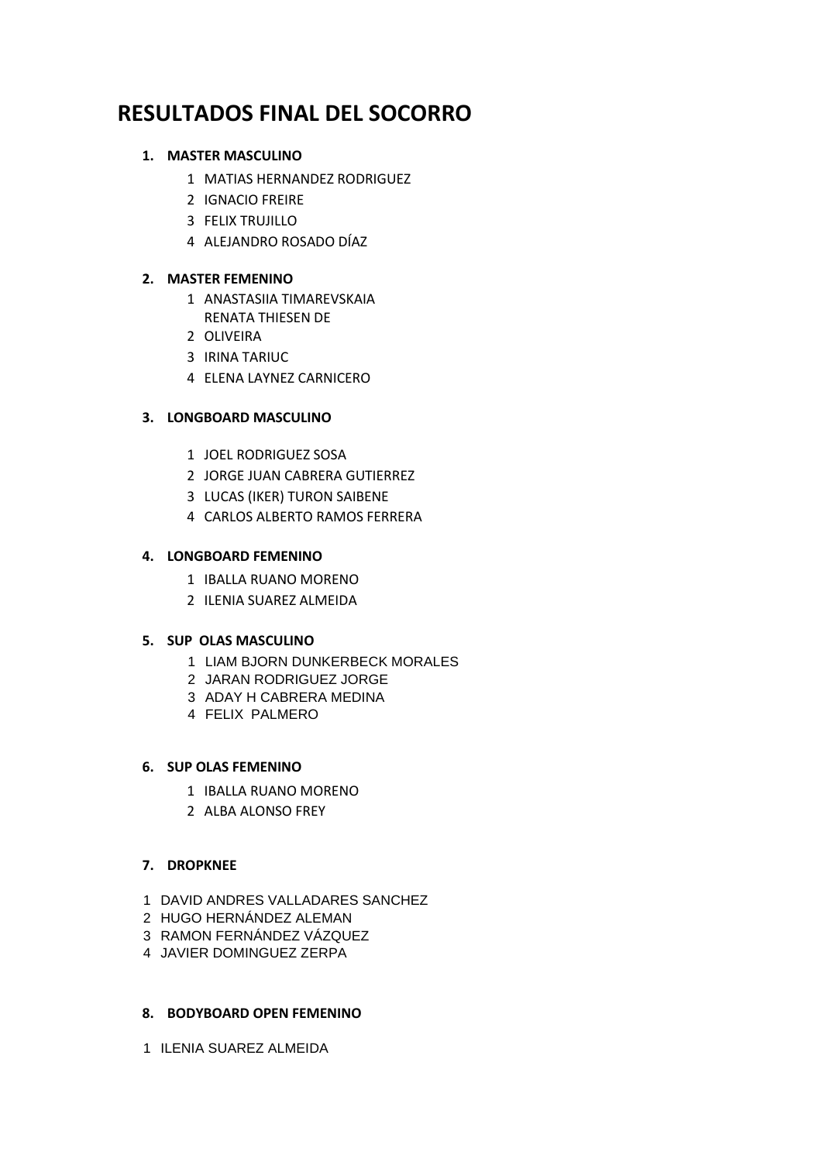# **RESULTADOS FINAL DEL SOCORRO**

## **1. MASTER MASCULINO**

- MATIAS HERNANDEZ RODRIGUEZ
- IGNACIO FREIRE
- FELIX TRUJILLO
- ALEJANDRO ROSADO DÍAZ

# **2. MASTER FEMENINO**

- ANASTASIIA TIMAREVSKAIA RENATA THIESEN DE
- OLIVEIRA
- IRINA TARIUC
- ELENA LAYNEZ CARNICERO

# **3. LONGBOARD MASCULINO**

- JOEL RODRIGUEZ SOSA
- JORGE JUAN CABRERA GUTIERREZ
- LUCAS (IKER) TURON SAIBENE
- CARLOS ALBERTO RAMOS FERRERA

## **4. LONGBOARD FEMENINO**

- IBALLA RUANO MORENO
- ILENIA SUAREZ ALMEIDA

## **5. SUP OLAS MASCULINO**

- LIAM BJORN DUNKERBECK MORALES
- JARAN RODRIGUEZ JORGE
- ADAY H CABRERA MEDINA
- FELIX PALMERO

## **6. SUP OLAS FEMENINO**

- IBALLA RUANO MORENO
- ALBA ALONSO FREY

# **7. DROPKNEE**

- DAVID ANDRES VALLADARES SANCHEZ
- HUGO HERNÁNDEZ ALEMAN
- RAMON FERNÁNDEZ VÁZQUEZ
- JAVIER DOMINGUEZ ZERPA

## **8. BODYBOARD OPEN FEMENINO**

ILENIA SUAREZ ALMEIDA